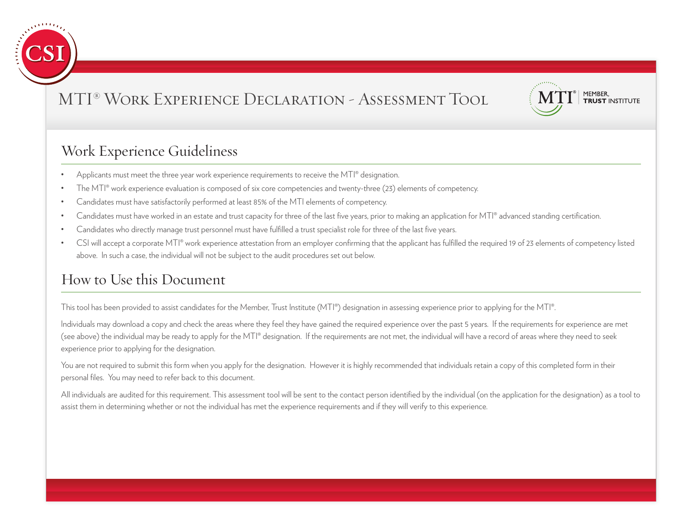



#### Work Experience Guideliness

- Applicants must meet the three year work experience requirements to receive the  $MT|°$  designation.
- The MTI® work experience evaluation is composed of six core competencies and twenty-three (23) elements of competency.
- Candidates must have satisfactorily performed at least 85% of the MTI elements of competency.
- Candidates must have worked in an estate and trust capacity for three of the last five years, prior to making an application for MTI® advanced standing certification.
- Candidates who directly manage trust personnel must have fulfilled a trust specialist role for three of the last five years.
- CSI will accept a corporate MTI® work experience attestation from an employer confirming that the applicant has fulfilled the required 19 of 23 elements of competency listed above. In such a case, the individual will not be subject to the audit procedures set out below.

#### How to Use this Document

This tool has been provided to assist candidates for the Member, Trust Institute (MTI®) designation in assessing experience prior to applying for the MTI®.

Individuals may download a copy and check the areas where they feel they have gained the required experience over the past 5 years. If the requirements for experience are met (see above) the individual may be ready to apply for the MTI® designation. If the requirements are not met, the individual will have a record of areas where they need to seek experience prior to applying for the designation.

You are not required to submit this form when you apply for the designation. However it is highly recommended that individuals retain a copy of this completed form in their personal files. You may need to refer back to this document.

All individuals are audited for this requirement. This assessment tool will be sent to the contact person identified by the individual (on the application for the designation) as a tool to assist them in determining whether or not the individual has met the experience requirements and if they will verify to this experience.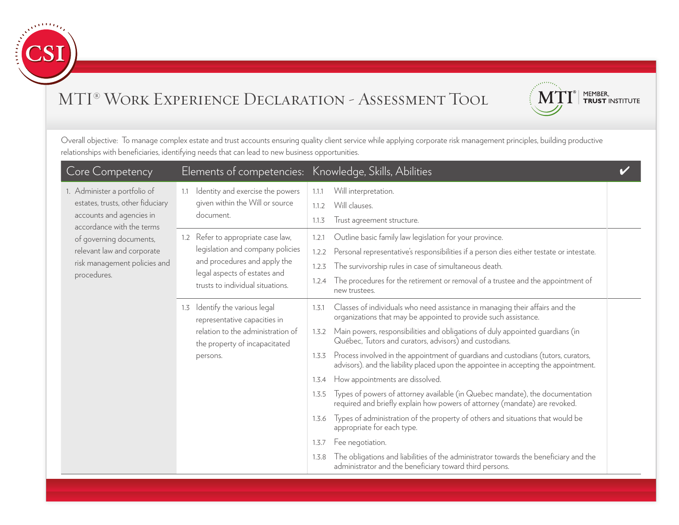



| Core Competency                                       |                                                                                | Elements of competencies: Knowledge, Skills, Abilities                                                                                                                              |  |
|-------------------------------------------------------|--------------------------------------------------------------------------------|-------------------------------------------------------------------------------------------------------------------------------------------------------------------------------------|--|
| 1. Administer a portfolio of                          | Identity and exercise the powers<br>1.1                                        | Will interpretation.<br>1.1.1                                                                                                                                                       |  |
| estates, trusts, other fiduciary                      | given within the Will or source                                                | Will clauses.<br>1.1.2                                                                                                                                                              |  |
| accounts and agencies in<br>accordance with the terms | document.                                                                      | Trust agreement structure.<br>1.1.3                                                                                                                                                 |  |
| of governing documents,                               | 1.2 Refer to appropriate case law,                                             | Outline basic family law legislation for your province.<br>1.2.1                                                                                                                    |  |
| relevant law and corporate                            | legislation and company policies                                               | Personal representative's responsibilities if a person dies either testate or intestate.<br>1.2.2                                                                                   |  |
| risk management policies and                          | and procedures and apply the                                                   | The survivorship rules in case of simultaneous death.<br>1.2.3                                                                                                                      |  |
| procedures.                                           | legal aspects of estates and<br>trusts to individual situations.               | The procedures for the retirement or removal of a trustee and the appointment of<br>1.2.4<br>new trustees.                                                                          |  |
|                                                       | Identify the various legal<br>1.3<br>representative capacities in              | Classes of individuals who need assistance in managing their affairs and the<br>1.3.1<br>organizations that may be appointed to provide such assistance.                            |  |
|                                                       | relation to the administration of<br>the property of incapacitated<br>persons. | Main powers, responsibilities and obligations of duly appointed guardians (in<br>1.3.2<br>Québec, Tutors and curators, advisors) and custodians.                                    |  |
|                                                       |                                                                                | Process involved in the appointment of quardians and custodians (tutors, curators,<br>1.3.3<br>advisors). and the liability placed upon the appointee in accepting the appointment. |  |
|                                                       |                                                                                | How appointments are dissolved.<br>1.3.4                                                                                                                                            |  |
|                                                       |                                                                                | Types of powers of attorney available (in Quebec mandate), the documentation<br>1.3.5<br>required and briefly explain how powers of attorney (mandate) are revoked.                 |  |
|                                                       |                                                                                | Types of administration of the property of others and situations that would be<br>1.3.6<br>appropriate for each type.                                                               |  |
|                                                       |                                                                                | Fee negotiation.<br>1.3.7                                                                                                                                                           |  |
|                                                       |                                                                                | The obligations and liabilities of the administrator towards the beneficiary and the<br>1.3.8<br>administrator and the beneficiary toward third persons.                            |  |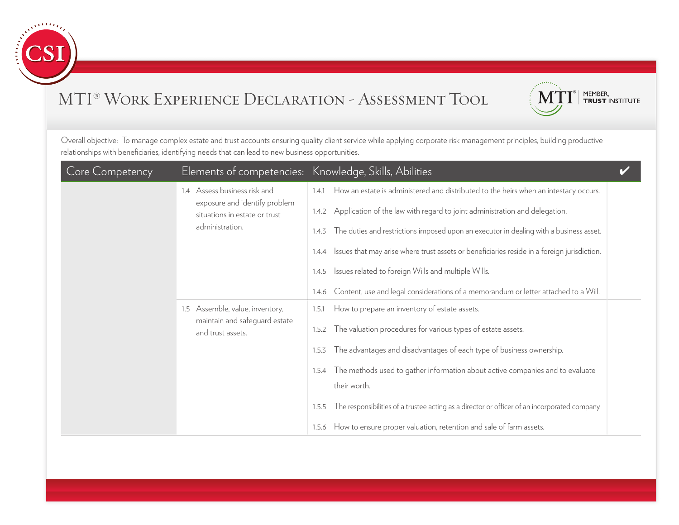



| <b>Core Competency</b> |                                                                | Elements of competencies: Knowledge, Skills, Abilities                                                 |
|------------------------|----------------------------------------------------------------|--------------------------------------------------------------------------------------------------------|
|                        | 1.4 Assess business risk and                                   | How an estate is administered and distributed to the heirs when an intestacy occurs.<br>1.4.1          |
|                        | exposure and identify problem<br>situations in estate or trust | 1.4.2 Application of the law with regard to joint administration and delegation.                       |
|                        | administration.                                                | The duties and restrictions imposed upon an executor in dealing with a business asset.<br>1.4.3        |
|                        |                                                                | 1.4.4 Issues that may arise where trust assets or beneficiaries reside in a foreign jurisdiction.      |
|                        |                                                                | 1.4.5 Issues related to foreign Wills and multiple Wills.                                              |
|                        |                                                                | Content, use and legal considerations of a memorandum or letter attached to a Will.<br>1.4.6           |
|                        | 1.5 Assemble, value, inventory,                                | How to prepare an inventory of estate assets.<br>1.5.1                                                 |
|                        | maintain and safeguard estate<br>and trust assets.             | The valuation procedures for various types of estate assets.<br>1.5.2                                  |
|                        |                                                                | The advantages and disadvantages of each type of business ownership.<br>1.5.3                          |
|                        |                                                                | 1.5.4 The methods used to gather information about active companies and to evaluate                    |
|                        |                                                                | their worth.                                                                                           |
|                        |                                                                | The responsibilities of a trustee acting as a director or officer of an incorporated company.<br>1.5.5 |
|                        |                                                                | How to ensure proper valuation, retention and sale of farm assets.<br>1.5.6                            |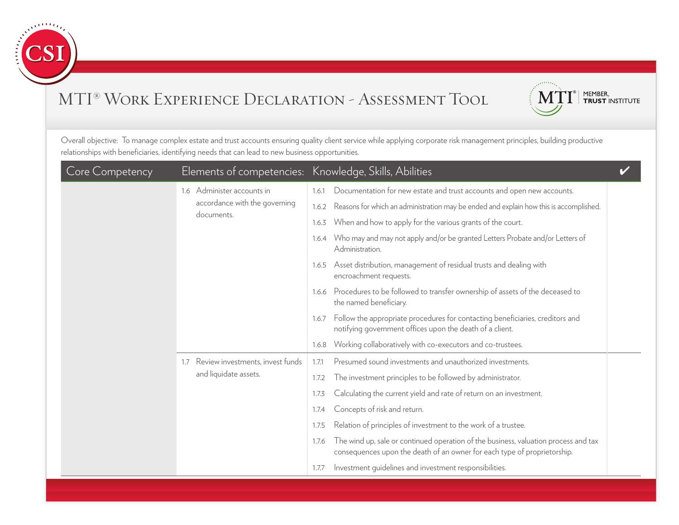



| <b>Core Competency</b> |                                             | Elements of competencies: Knowledge, Skills, Abilities                                                                                                                   |
|------------------------|---------------------------------------------|--------------------------------------------------------------------------------------------------------------------------------------------------------------------------|
|                        | 1.6 Administer accounts in                  | Documentation for new estate and trust accounts and open new accounts.<br>1.6.1                                                                                          |
|                        | accordance with the governing<br>documents. | Reasons for which an administration may be ended and explain how this is accomplished.<br>1.6.2                                                                          |
|                        |                                             | When and how to apply for the various grants of the court.<br>1.6.3                                                                                                      |
|                        |                                             | Who may and may not apply and/or be granted Letters Probate and/or Letters of<br>1.6.4<br>Administration.                                                                |
|                        |                                             | Asset distribution, management of residual trusts and dealing with<br>1.6.5<br>encroachment requests.                                                                    |
|                        |                                             | 1.6.6 Procedures to be followed to transfer ownership of assets of the deceased to<br>the named beneficiary.                                                             |
|                        |                                             | 1.6.7 Follow the appropriate procedures for contacting beneficiaries, creditors and<br>notifying government offices upon the death of a client.                          |
|                        |                                             | Working collaboratively with co-executors and co-trustees.<br>1.6.8                                                                                                      |
|                        | Review investments, invest funds<br>1.7     | Presumed sound investments and unauthorized investments.<br>1.7.1                                                                                                        |
|                        | and liquidate assets.                       | The investment principles to be followed by administrator.<br>1.7.2                                                                                                      |
|                        |                                             | Calculating the current yield and rate of return on an investment.<br>1.7.3                                                                                              |
|                        |                                             | Concepts of risk and return.<br>1.7.4                                                                                                                                    |
|                        |                                             | Relation of principles of investment to the work of a trustee.<br>1.7.5                                                                                                  |
|                        |                                             | The wind up, sale or continued operation of the business, valuation process and tax<br>1.7.6<br>consequences upon the death of an owner for each type of proprietorship. |
|                        |                                             | Investment quidelines and investment responsibilities.<br>1.7.7                                                                                                          |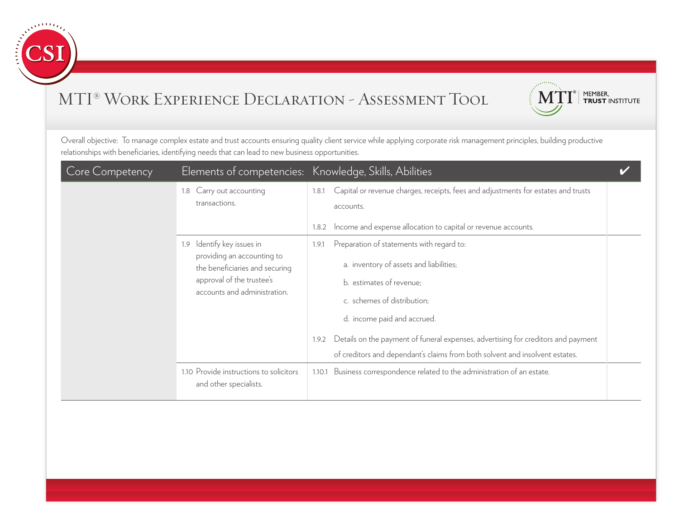



| Core Competency | Elements of competencies: Knowledge, Skills, Abilities                                                                                                  |                                                                                                                                                                                                                                                                                                                                                                       |
|-----------------|---------------------------------------------------------------------------------------------------------------------------------------------------------|-----------------------------------------------------------------------------------------------------------------------------------------------------------------------------------------------------------------------------------------------------------------------------------------------------------------------------------------------------------------------|
|                 | 1.8 Carry out accounting<br>transactions.                                                                                                               | Capital or revenue charges, receipts, fees and adjustments for estates and trusts<br>1.8.1<br>accounts.<br>Income and expense allocation to capital or revenue accounts.<br>1.8.2                                                                                                                                                                                     |
|                 | 1.9 Identify key issues in<br>providing an accounting to<br>the beneficiaries and securing<br>approval of the trustee's<br>accounts and administration. | Preparation of statements with regard to:<br>1.9.1<br>a. inventory of assets and liabilities;<br>b. estimates of revenue;<br>c. schemes of distribution;<br>d. income paid and accrued.<br>Details on the payment of funeral expenses, advertising for creditors and payment<br>1.9.2<br>of creditors and dependant's claims from both solvent and insolvent estates. |
|                 | 1.10 Provide instructions to solicitors<br>and other specialists.                                                                                       | Business correspondence related to the administration of an estate.<br>1.10.1                                                                                                                                                                                                                                                                                         |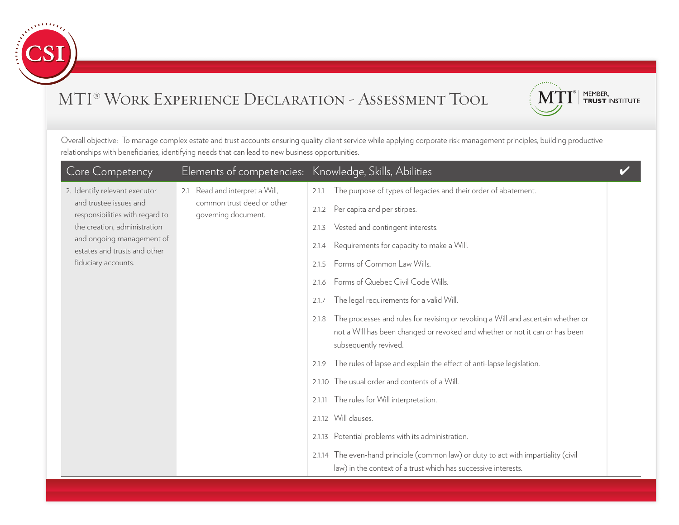



| Core Competency                                           | Elements of competencies: Knowledge, Skills, Abilities                        |                                                                                                                                                                                                    |  |
|-----------------------------------------------------------|-------------------------------------------------------------------------------|----------------------------------------------------------------------------------------------------------------------------------------------------------------------------------------------------|--|
| 2. Identify relevant executor                             | 2.1 Read and interpret a Will,                                                | The purpose of types of legacies and their order of abatement.<br>2.1.1                                                                                                                            |  |
| and trustee issues and<br>responsibilities with regard to | common trust deed or other<br>governing document.                             | Per capita and per stirpes.<br>2.1.2                                                                                                                                                               |  |
| the creation, administration                              |                                                                               | Vested and contingent interests.<br>2.1.3                                                                                                                                                          |  |
| and ongoing management of<br>estates and trusts and other |                                                                               | Requirements for capacity to make a Will.<br>2.1.4                                                                                                                                                 |  |
| fiduciary accounts.                                       |                                                                               | Forms of Common Law Wills.<br>2.1.5                                                                                                                                                                |  |
|                                                           |                                                                               | Forms of Quebec Civil Code Wills.<br>2.1.6                                                                                                                                                         |  |
|                                                           |                                                                               | The legal requirements for a valid Will.<br>2.1.7                                                                                                                                                  |  |
|                                                           |                                                                               | The processes and rules for revising or revoking a Will and ascertain whether or<br>2.1.8<br>not a Will has been changed or revoked and whether or not it can or has been<br>subsequently revived. |  |
|                                                           | The rules of lapse and explain the effect of anti-lapse legislation.<br>2.1.9 |                                                                                                                                                                                                    |  |
|                                                           |                                                                               | 2.1.10 The usual order and contents of a Will.                                                                                                                                                     |  |
|                                                           |                                                                               | The rules for Will interpretation.<br>2.1.11                                                                                                                                                       |  |
|                                                           |                                                                               | 2.1.12 Will clauses.                                                                                                                                                                               |  |
|                                                           |                                                                               | 2.1.13 Potential problems with its administration.                                                                                                                                                 |  |
|                                                           |                                                                               | 2.1.14 The even-hand principle (common law) or duty to act with impartiality (civil<br>law) in the context of a trust which has successive interests.                                              |  |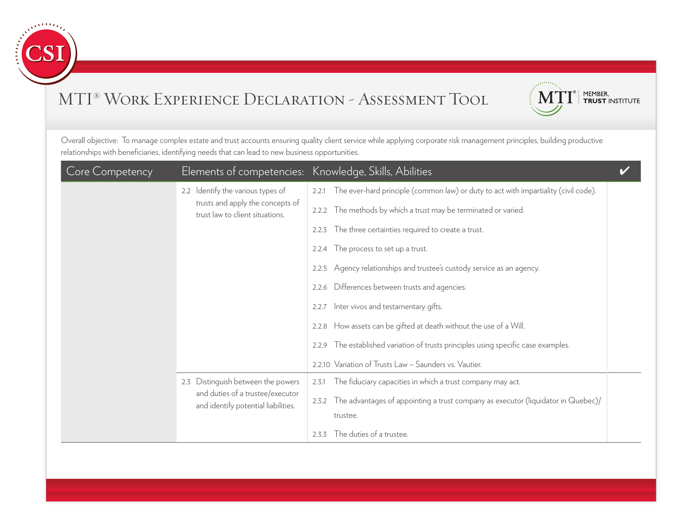



| Core Competency |                                                                         | Elements of competencies: Knowledge, Skills, Abilities                                       |
|-----------------|-------------------------------------------------------------------------|----------------------------------------------------------------------------------------------|
|                 | 2.2 Identify the various types of                                       | The ever-hard principle (common law) or duty to act with impartiality (civil code).<br>2.2.1 |
|                 | trusts and apply the concepts of<br>trust law to client situations.     | 2.2.2 The methods by which a trust may be terminated or varied.                              |
|                 |                                                                         | The three certainties required to create a trust.<br>2.2.3                                   |
|                 |                                                                         | The process to set up a trust.<br>2.2.4                                                      |
|                 |                                                                         | 2.2.5 Agency relationships and trustee's custody service as an agency.                       |
|                 |                                                                         | 2.2.6 Differences between trusts and agencies.                                               |
|                 |                                                                         | Inter vivos and testamentary gifts.<br>2.2.7                                                 |
|                 |                                                                         | How assets can be gifted at death without the use of a Will.<br>2.2.8                        |
|                 |                                                                         | The established variation of trusts principles using specific case examples.<br>2.2.9        |
|                 | Distinguish between the powers<br>2.3                                   | 2.2.10 Variation of Trusts Law - Saunders vs. Vautier.                                       |
|                 |                                                                         | The fiduciary capacities in which a trust company may act.<br>2.3.1                          |
|                 | and duties of a trustee/executor<br>and identify potential liabilities. | 2.3.2 The advantages of appointing a trust company as executor (liquidator in Quebec)/       |
|                 |                                                                         | trustee.                                                                                     |
|                 |                                                                         | The duties of a trustee.<br>2.3.3                                                            |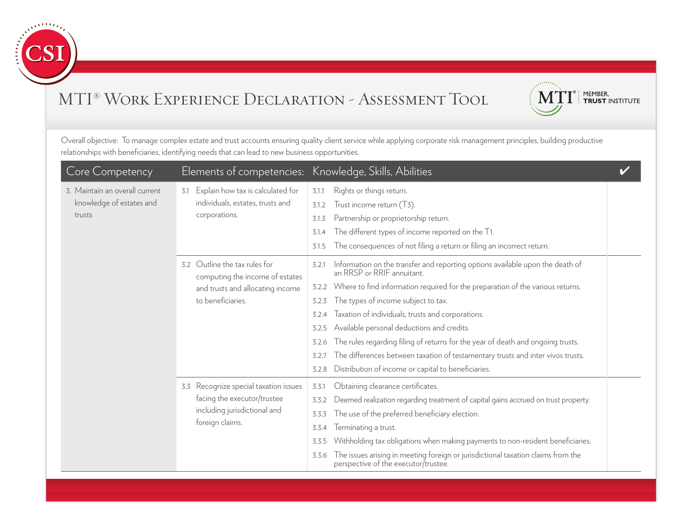



| <b>Core Competency</b>                                               |                                                                                                                           | Elements of competencies: Knowledge, Skills, Abilities                                                                                                                                                                                                                                                                                                                                                                                                                                                                                                                                                                                       |
|----------------------------------------------------------------------|---------------------------------------------------------------------------------------------------------------------------|----------------------------------------------------------------------------------------------------------------------------------------------------------------------------------------------------------------------------------------------------------------------------------------------------------------------------------------------------------------------------------------------------------------------------------------------------------------------------------------------------------------------------------------------------------------------------------------------------------------------------------------------|
| 3. Maintain an overall current<br>knowledge of estates and<br>trusts | 3.1 Explain how tax is calculated for<br>individuals, estates, trusts and<br>corporations.                                | Rights or things return.<br>3.1.1<br>Trust income return (T3).<br>3.1.2<br>Partnership or proprietorship return.<br>3.1.3<br>The different types of income reported on the T1.<br>3.1.4<br>The consequences of not filing a return or filing an incorrect return.<br>3.1.5                                                                                                                                                                                                                                                                                                                                                                   |
|                                                                      | 3.2 Outline the tax rules for<br>computing the income of estates<br>and trusts and allocating income<br>to beneficiaries. | Information on the transfer and reporting options available upon the death of<br>3.2.1<br>an RRSP or RRIF annuitant.<br>Where to find information required for the preparation of the various returns.<br>3.2.2<br>The types of income subject to tax.<br>3.2.3<br>Taxation of individuals, trusts and corporations.<br>3.2.4<br>Available personal deductions and credits.<br>3.2.5<br>The rules regarding filing of returns for the year of death and ongoing trusts.<br>3.2.6<br>The differences between taxation of testamentary trusts and inter vivos trusts.<br>3.2.7<br>Distribution of income or capital to beneficiaries.<br>3.2.8 |
|                                                                      | 3.3 Recognize special taxation issues<br>facing the executor/trustee<br>including jurisdictional and<br>foreign claims.   | Obtaining clearance certificates.<br>3.3.1<br>Deemed realization regarding treatment of capital gains accrued on trust property.<br>3.3.2<br>The use of the preferred beneficiary election.<br>3.3.3<br>Terminating a trust.<br>3.3.4<br>Withholding tax obligations when making payments to non-resident beneficiaries.<br>3.3.5<br>The issues arising in meeting foreign or jurisdictional taxation claims from the<br>3.3.6<br>perspective of the executor/trustee.                                                                                                                                                                       |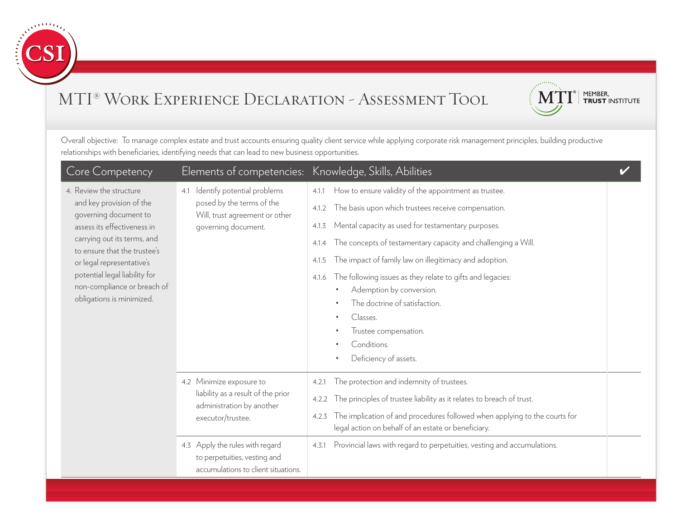



| Core Competency                                                                                                                                                                                                                                                                                      | Elements of competencies: Knowledge, Skills, Abilities                                                                                              |                                                                                                                                                                                                                                                                                                                                                                                                                                                                                                                                                                          |  |
|------------------------------------------------------------------------------------------------------------------------------------------------------------------------------------------------------------------------------------------------------------------------------------------------------|-----------------------------------------------------------------------------------------------------------------------------------------------------|--------------------------------------------------------------------------------------------------------------------------------------------------------------------------------------------------------------------------------------------------------------------------------------------------------------------------------------------------------------------------------------------------------------------------------------------------------------------------------------------------------------------------------------------------------------------------|--|
| 4. Review the structure<br>and key provision of the<br>governing document to<br>assess its effectiveness in<br>carrying out its terms, and<br>to ensure that the trustee's<br>or legal representative's<br>potential legal liability for<br>non-compliance or breach of<br>obligations is minimized. | Identify potential problems<br>4.1<br>posed by the terms of the<br>Will, trust agreement or other<br>governing document.                            | How to ensure validity of the appointment as trustee.<br>4.1.1<br>The basis upon which trustees receive compensation.<br>4.1.2<br>Mental capacity as used for testamentary purposes.<br>4.1.3<br>The concepts of testamentary capacity and challenging a Will.<br>4.1.4<br>The impact of family law on illegitimacy and adoption.<br>4.1.5<br>The following issues as they relate to gifts and legacies:<br>4.1.6<br>Ademption by conversion.<br>The doctrine of satisfaction.<br>Classes.<br>$\bullet$<br>Trustee compensation.<br>Conditions.<br>Deficiency of assets. |  |
|                                                                                                                                                                                                                                                                                                      | 4.2 Minimize exposure to<br>liability as a result of the prior<br>administration by another<br>executor/trustee.<br>4.3 Apply the rules with regard | The protection and indemnity of trustees.<br>4.2.1<br>The principles of trustee liability as it relates to breach of trust.<br>4.2.2<br>The implication of and procedures followed when applying to the courts for<br>4.2.3<br>legal action on behalf of an estate or beneficiary.<br>Provincial laws with regard to perpetuities, vesting and accumulations.<br>4.3.1                                                                                                                                                                                                   |  |
|                                                                                                                                                                                                                                                                                                      | to perpetuities, vesting and<br>accumulations to client situations.                                                                                 |                                                                                                                                                                                                                                                                                                                                                                                                                                                                                                                                                                          |  |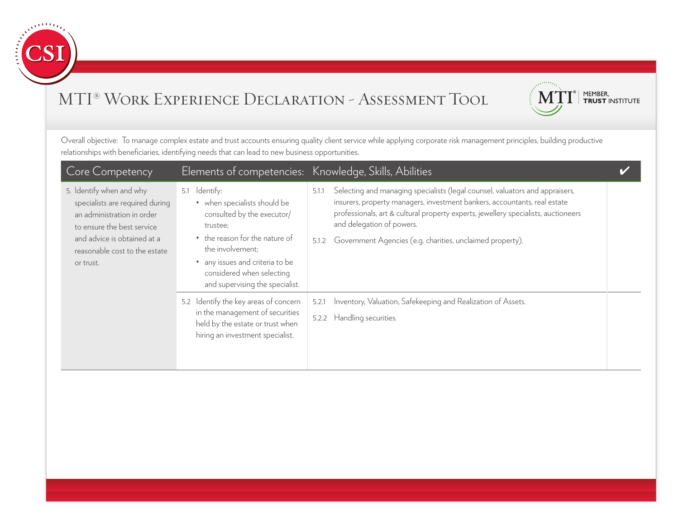



| Core Competency                                                                                                                                                                                      |                                                                                                                                                                                                                                                     | Elements of competencies: Knowledge, Skills, Abilities                                                                                                                                                                                                                                                                                                      |  |
|------------------------------------------------------------------------------------------------------------------------------------------------------------------------------------------------------|-----------------------------------------------------------------------------------------------------------------------------------------------------------------------------------------------------------------------------------------------------|-------------------------------------------------------------------------------------------------------------------------------------------------------------------------------------------------------------------------------------------------------------------------------------------------------------------------------------------------------------|--|
| 5. Identify when and why<br>specialists are required during<br>an administration in order<br>to ensure the best service<br>and advice is obtained at a<br>reasonable cost to the estate<br>or trust. | ldentify:<br>5.1<br>• when specialists should be<br>consulted by the executor/<br>trustee:<br>• the reason for the nature of<br>the involvement;<br>• any issues and criteria to be<br>considered when selecting<br>and supervising the specialist. | Selecting and managing specialists (legal counsel, valuators and appraisers,<br>5.1.1<br>insurers, property managers, investment bankers, accountants, real estate<br>professionals, art & cultural property experts, jewellery specialists, auctioneers<br>and delegation of powers.<br>Government Agencies (e.g. charities, unclaimed property).<br>5.1.2 |  |
|                                                                                                                                                                                                      | 5.2 Identify the key areas of concern<br>in the management of securities<br>held by the estate or trust when<br>hiring an investment specialist.                                                                                                    | Inventory, Valuation, Safekeeping and Realization of Assets.<br>5.2.1<br>5.2.2 Handling securities.                                                                                                                                                                                                                                                         |  |